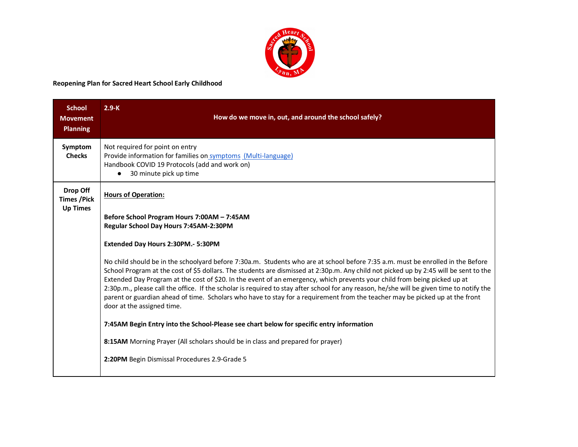

## **Reopening Plan for Sacred Heart School Early Childhood**

| <b>School</b><br><b>Movement</b><br><b>Planning</b> | $2.9-K$<br>How do we move in, out, and around the school safely?                                                                                                                                                                                                                                                                                                                                                                                                                                                                                                                                                                                                                                                                                                                                                                                                                                                                                                                                                                                                                                              |
|-----------------------------------------------------|---------------------------------------------------------------------------------------------------------------------------------------------------------------------------------------------------------------------------------------------------------------------------------------------------------------------------------------------------------------------------------------------------------------------------------------------------------------------------------------------------------------------------------------------------------------------------------------------------------------------------------------------------------------------------------------------------------------------------------------------------------------------------------------------------------------------------------------------------------------------------------------------------------------------------------------------------------------------------------------------------------------------------------------------------------------------------------------------------------------|
| Symptom<br><b>Checks</b>                            | Not required for point on entry<br>Provide information for families on symptoms (Multi-language)<br>Handbook COVID 19 Protocols (add and work on)<br>30 minute pick up time                                                                                                                                                                                                                                                                                                                                                                                                                                                                                                                                                                                                                                                                                                                                                                                                                                                                                                                                   |
| Drop Off<br><b>Times / Pick</b><br><b>Up Times</b>  | <b>Hours of Operation:</b><br>Before School Program Hours 7:00AM - 7:45AM<br>Regular School Day Hours 7:45AM-2:30PM<br>Extended Day Hours 2:30PM.- 5:30PM<br>No child should be in the schoolyard before 7:30a.m. Students who are at school before 7:35 a.m. must be enrolled in the Before<br>School Program at the cost of \$5 dollars. The students are dismissed at 2:30p.m. Any child not picked up by 2:45 will be sent to the<br>Extended Day Program at the cost of \$20. In the event of an emergency, which prevents your child from being picked up at<br>2:30p.m., please call the office. If the scholar is required to stay after school for any reason, he/she will be given time to notify the<br>parent or guardian ahead of time. Scholars who have to stay for a requirement from the teacher may be picked up at the front<br>door at the assigned time.<br>7:45AM Begin Entry into the School-Please see chart below for specific entry information<br>8:15AM Morning Prayer (All scholars should be in class and prepared for prayer)<br>2:20PM Begin Dismissal Procedures 2.9-Grade 5 |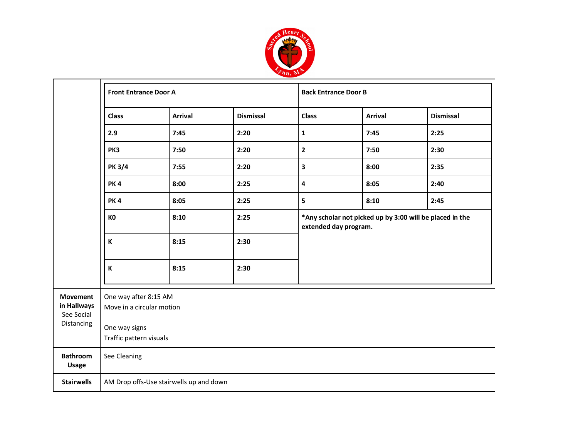

|                                              | <b>Front Entrance Door A</b>                       |                                         |      | <b>Back Entrance Door B</b>                                                       |                |                  |  |  |
|----------------------------------------------|----------------------------------------------------|-----------------------------------------|------|-----------------------------------------------------------------------------------|----------------|------------------|--|--|
|                                              | <b>Arrival</b><br><b>Dismissal</b><br><b>Class</b> |                                         |      | <b>Class</b>                                                                      | <b>Arrival</b> | <b>Dismissal</b> |  |  |
|                                              | 2.9                                                | 7:45                                    | 2:20 | $\mathbf{1}$                                                                      | 7:45           | 2:25             |  |  |
|                                              | PK3                                                | 7:50                                    | 2:20 | $\mathbf{2}$                                                                      | 7:50           | 2:30             |  |  |
|                                              | <b>PK 3/4</b>                                      | 7:55                                    | 2:20 | 3                                                                                 | 8:00           | 2:35             |  |  |
|                                              | <b>PK4</b>                                         | 8:00                                    | 2:25 | 4                                                                                 | 8:05           | 2:40             |  |  |
|                                              | <b>PK4</b>                                         | 8:05                                    | 2:25 | 5                                                                                 | 8:10           | 2:45             |  |  |
|                                              | K <sub>0</sub>                                     | 8:10                                    | 2:25 | *Any scholar not picked up by 3:00 will be placed in the<br>extended day program. |                |                  |  |  |
|                                              | K                                                  | 8:15                                    | 2:30 |                                                                                   |                |                  |  |  |
|                                              | K                                                  | 8:15                                    | 2:30 |                                                                                   |                |                  |  |  |
| <b>Movement</b><br>in Hallways<br>See Social | One way after 8:15 AM<br>Move in a circular motion |                                         |      |                                                                                   |                |                  |  |  |
| Distancing                                   | One way signs<br>Traffic pattern visuals           |                                         |      |                                                                                   |                |                  |  |  |
| <b>Bathroom</b><br><b>Usage</b>              | See Cleaning                                       |                                         |      |                                                                                   |                |                  |  |  |
| <b>Stairwells</b>                            |                                                    | AM Drop offs-Use stairwells up and down |      |                                                                                   |                |                  |  |  |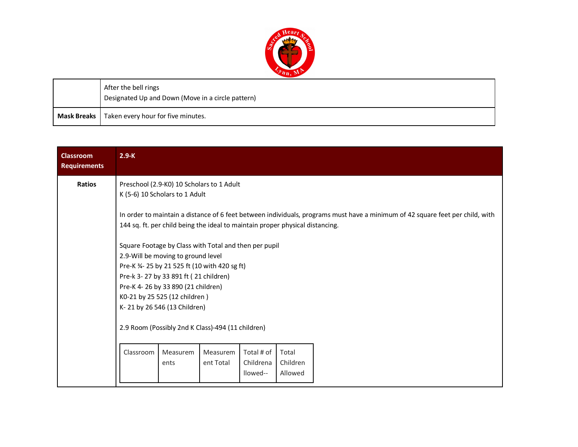

| After the bell rings<br>Designated Up and Down (Move in a circle pattern) |
|---------------------------------------------------------------------------|
| Mask Breaks   Taken every hour for five minutes.                          |

| <b>Classroom</b><br><b>Requirements</b> | $2.9-K$   |                                                                                                                                                                                                                                                                                                                                                                                                                                     |                       |                                     |                              |  |
|-----------------------------------------|-----------|-------------------------------------------------------------------------------------------------------------------------------------------------------------------------------------------------------------------------------------------------------------------------------------------------------------------------------------------------------------------------------------------------------------------------------------|-----------------------|-------------------------------------|------------------------------|--|
| <b>Ratios</b>                           |           | Preschool (2.9-K0) 10 Scholars to 1 Adult<br>K (5-6) 10 Scholars to 1 Adult<br>In order to maintain a distance of 6 feet between individuals, programs must have a minimum of 42 square feet per child, with                                                                                                                                                                                                                        |                       |                                     |                              |  |
|                                         |           | 144 sq. ft. per child being the ideal to maintain proper physical distancing.<br>Square Footage by Class with Total and then per pupil<br>2.9-Will be moving to ground level<br>Pre-K 3/4- 25 by 21 525 ft (10 with 420 sg ft)<br>Pre-k 3-27 by 33 891 ft (21 children)<br>Pre-K 4-26 by 33 890 (21 children)<br>K0-21 by 25 525 (12 children)<br>K-21 by 26 546 (13 Children)<br>2.9 Room (Possibly 2nd K Class)-494 (11 children) |                       |                                     |                              |  |
|                                         | Classroom | Measurem<br>ents                                                                                                                                                                                                                                                                                                                                                                                                                    | Measurem<br>ent Total | Total # of<br>Childrena<br>llowed-- | Total<br>Children<br>Allowed |  |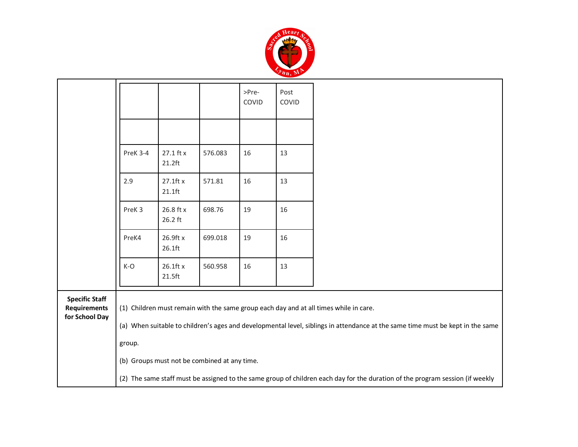

|                                                                |                   |                          |                                              | >Pre-<br>COVID | Post<br>COVID |                                                                                                                                                                                                                         |
|----------------------------------------------------------------|-------------------|--------------------------|----------------------------------------------|----------------|---------------|-------------------------------------------------------------------------------------------------------------------------------------------------------------------------------------------------------------------------|
|                                                                |                   |                          |                                              |                |               |                                                                                                                                                                                                                         |
|                                                                | PreK 3-4          | 27.1 ft x<br>$21.2$ ft   | 576.083                                      | 16             | 13            |                                                                                                                                                                                                                         |
|                                                                | 2.9               | $27.1$ ft x<br>$21.1$ ft | 571.81                                       | 16             | 13            |                                                                                                                                                                                                                         |
|                                                                | PreK <sub>3</sub> | 26.8 ft x<br>26.2 ft     | 698.76                                       | 19             | 16            |                                                                                                                                                                                                                         |
|                                                                | PreK4             | 26.9ft x<br>26.1ft       | 699.018                                      | 19             | 16            |                                                                                                                                                                                                                         |
|                                                                | $K-O$             | 26.1ft x<br>21.5ft       | 560.958                                      | 16             | 13            |                                                                                                                                                                                                                         |
| <b>Specific Staff</b><br><b>Requirements</b><br>for School Day |                   |                          |                                              |                |               | (1) Children must remain with the same group each day and at all times while in care.<br>(a) When suitable to children's ages and developmental level, siblings in attendance at the same time must be kept in the same |
|                                                                | group.            |                          |                                              |                |               |                                                                                                                                                                                                                         |
|                                                                |                   |                          | (b) Groups must not be combined at any time. |                |               |                                                                                                                                                                                                                         |
|                                                                |                   |                          |                                              |                |               | (2) The same staff must be assigned to the same group of children each day for the duration of the program session (if weekly                                                                                           |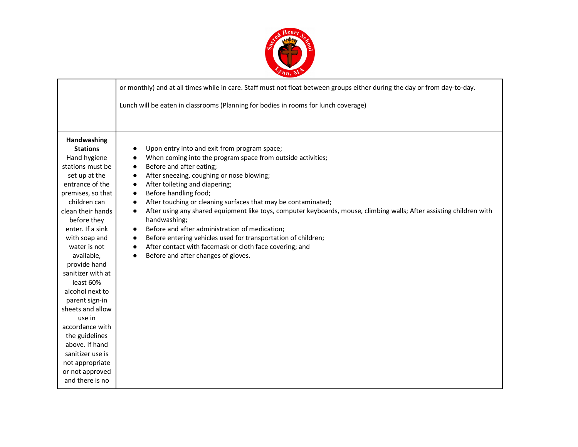

|                                                                                                                                                                                                                                                                                                                                                               | or monthly) and at all times while in care. Staff must not float between groups either during the day or from day-to-day.                                                                                                                                                                                                                                                                                                                                                                                                                                                                                                                                                                                                                      |  |  |  |  |  |
|---------------------------------------------------------------------------------------------------------------------------------------------------------------------------------------------------------------------------------------------------------------------------------------------------------------------------------------------------------------|------------------------------------------------------------------------------------------------------------------------------------------------------------------------------------------------------------------------------------------------------------------------------------------------------------------------------------------------------------------------------------------------------------------------------------------------------------------------------------------------------------------------------------------------------------------------------------------------------------------------------------------------------------------------------------------------------------------------------------------------|--|--|--|--|--|
|                                                                                                                                                                                                                                                                                                                                                               | Lunch will be eaten in classrooms (Planning for bodies in rooms for lunch coverage)                                                                                                                                                                                                                                                                                                                                                                                                                                                                                                                                                                                                                                                            |  |  |  |  |  |
|                                                                                                                                                                                                                                                                                                                                                               |                                                                                                                                                                                                                                                                                                                                                                                                                                                                                                                                                                                                                                                                                                                                                |  |  |  |  |  |
| Handwashing<br><b>Stations</b><br>Hand hygiene<br>stations must be<br>set up at the<br>entrance of the<br>premises, so that<br>children can<br>clean their hands<br>before they<br>enter. If a sink<br>with soap and<br>water is not<br>available,<br>provide hand<br>sanitizer with at<br>least 60%<br>alcohol next to<br>parent sign-in<br>sheets and allow | Upon entry into and exit from program space;<br>When coming into the program space from outside activities;<br>Before and after eating;<br>After sneezing, coughing or nose blowing;<br>After toileting and diapering;<br>$\bullet$<br>Before handling food;<br>$\bullet$<br>After touching or cleaning surfaces that may be contaminated;<br>$\bullet$<br>After using any shared equipment like toys, computer keyboards, mouse, climbing walls; After assisting children with<br>handwashing;<br>Before and after administration of medication;<br>Before entering vehicles used for transportation of children;<br>$\bullet$<br>After contact with facemask or cloth face covering; and<br>$\bullet$<br>Before and after changes of gloves. |  |  |  |  |  |
| use in<br>accordance with<br>the guidelines<br>above. If hand<br>sanitizer use is<br>not appropriate<br>or not approved<br>and there is no                                                                                                                                                                                                                    |                                                                                                                                                                                                                                                                                                                                                                                                                                                                                                                                                                                                                                                                                                                                                |  |  |  |  |  |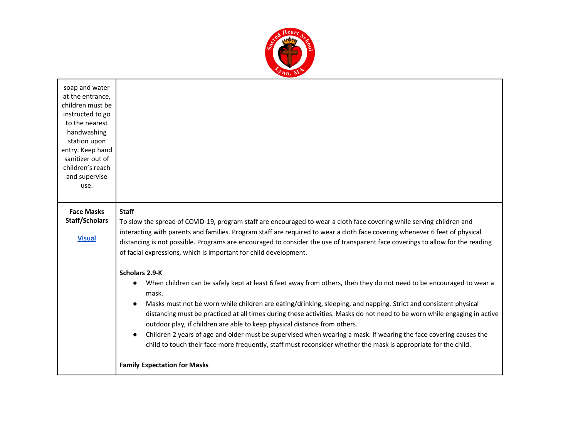

| soap and water<br>at the entrance,<br>children must be<br>instructed to go<br>to the nearest<br>handwashing<br>station upon<br>entry. Keep hand<br>sanitizer out of<br>children's reach<br>and supervise<br>use. |                                                                                                                                                                                                                                                                                                                                                                                                                                                                                                                                                                                                                                                                                                                                                            |
|------------------------------------------------------------------------------------------------------------------------------------------------------------------------------------------------------------------|------------------------------------------------------------------------------------------------------------------------------------------------------------------------------------------------------------------------------------------------------------------------------------------------------------------------------------------------------------------------------------------------------------------------------------------------------------------------------------------------------------------------------------------------------------------------------------------------------------------------------------------------------------------------------------------------------------------------------------------------------------|
| <b>Face Masks</b><br><b>Staff/Scholars</b><br><b>Visual</b>                                                                                                                                                      | <b>Staff</b><br>To slow the spread of COVID-19, program staff are encouraged to wear a cloth face covering while serving children and<br>interacting with parents and families. Program staff are required to wear a cloth face covering whenever 6 feet of physical<br>distancing is not possible. Programs are encouraged to consider the use of transparent face coverings to allow for the reading<br>of facial expressions, which is important for child development.                                                                                                                                                                                                                                                                                 |
|                                                                                                                                                                                                                  | Scholars 2.9-K<br>When children can be safely kept at least 6 feet away from others, then they do not need to be encouraged to wear a<br>mask.<br>Masks must not be worn while children are eating/drinking, sleeping, and napping. Strict and consistent physical<br>distancing must be practiced at all times during these activities. Masks do not need to be worn while engaging in active<br>outdoor play, if children are able to keep physical distance from others.<br>Children 2 years of age and older must be supervised when wearing a mask. If wearing the face covering causes the<br>child to touch their face more frequently, staff must reconsider whether the mask is appropriate for the child.<br><b>Family Expectation for Masks</b> |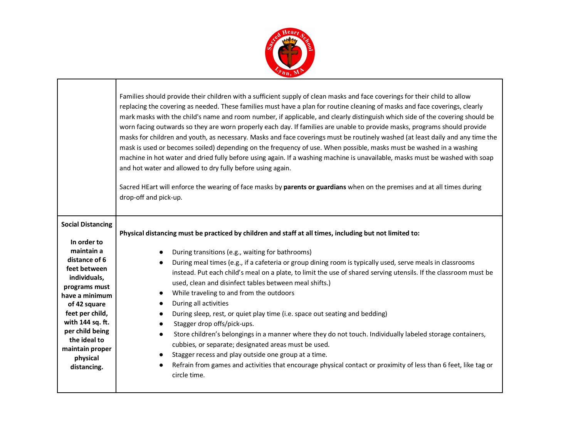

Г

 $\mathbf{I}$ 

|                                                                                                                                                                                                                                                                                   | Families should provide their children with a sufficient supply of clean masks and face coverings for their child to allow<br>replacing the covering as needed. These families must have a plan for routine cleaning of masks and face coverings, clearly<br>mark masks with the child's name and room number, if applicable, and clearly distinguish which side of the covering should be<br>worn facing outwards so they are worn properly each day. If families are unable to provide masks, programs should provide<br>masks for children and youth, as necessary. Masks and face coverings must be routinely washed (at least daily and any time the<br>mask is used or becomes soiled) depending on the frequency of use. When possible, masks must be washed in a washing<br>machine in hot water and dried fully before using again. If a washing machine is unavailable, masks must be washed with soap<br>and hot water and allowed to dry fully before using again.<br>Sacred HEart will enforce the wearing of face masks by parents or guardians when on the premises and at all times during<br>drop-off and pick-up. |
|-----------------------------------------------------------------------------------------------------------------------------------------------------------------------------------------------------------------------------------------------------------------------------------|-------------------------------------------------------------------------------------------------------------------------------------------------------------------------------------------------------------------------------------------------------------------------------------------------------------------------------------------------------------------------------------------------------------------------------------------------------------------------------------------------------------------------------------------------------------------------------------------------------------------------------------------------------------------------------------------------------------------------------------------------------------------------------------------------------------------------------------------------------------------------------------------------------------------------------------------------------------------------------------------------------------------------------------------------------------------------------------------------------------------------------------|
| <b>Social Distancing</b><br>In order to<br>maintain a<br>distance of 6<br>feet between<br>individuals,<br>programs must<br>have a minimum<br>of 42 square<br>feet per child,<br>with 144 sq. ft.<br>per child being<br>the ideal to<br>maintain proper<br>physical<br>distancing. | Physical distancing must be practiced by children and staff at all times, including but not limited to:<br>During transitions (e.g., waiting for bathrooms)<br>$\bullet$<br>During meal times (e.g., if a cafeteria or group dining room is typically used, serve meals in classrooms<br>$\bullet$<br>instead. Put each child's meal on a plate, to limit the use of shared serving utensils. If the classroom must be<br>used, clean and disinfect tables between meal shifts.)<br>While traveling to and from the outdoors<br>$\bullet$<br>During all activities<br>$\bullet$<br>During sleep, rest, or quiet play time (i.e. space out seating and bedding)<br>$\bullet$<br>Stagger drop offs/pick-ups.<br>Store children's belongings in a manner where they do not touch. Individually labeled storage containers,<br>$\bullet$<br>cubbies, or separate; designated areas must be used.<br>Stagger recess and play outside one group at a time.<br>$\bullet$<br>Refrain from games and activities that encourage physical contact or proximity of less than 6 feet, like tag or<br>$\bullet$<br>circle time.                   |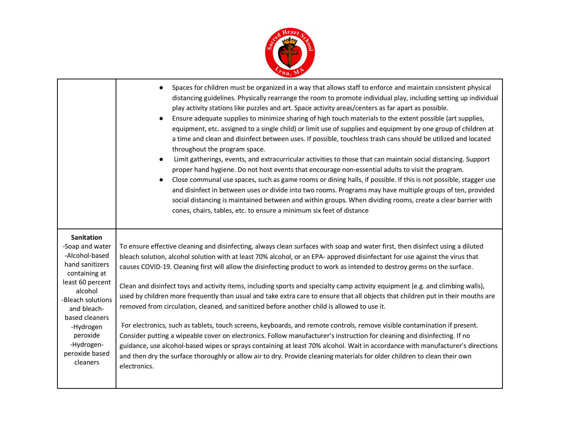

|                                                                                                                                                                                                                                                      | Spaces for children must be organized in a way that allows staff to enforce and maintain consistent physical<br>distancing guidelines. Physically rearrange the room to promote individual play, including setting up individual<br>play activity stations like puzzles and art. Space activity areas/centers as far apart as possible.<br>Ensure adequate supplies to minimize sharing of high touch materials to the extent possible (art supplies,<br>$\bullet$<br>equipment, etc. assigned to a single child) or limit use of supplies and equipment by one group of children at<br>a time and clean and disinfect between uses. If possible, touchless trash cans should be utilized and located<br>throughout the program space.<br>Limit gatherings, events, and extracurricular activities to those that can maintain social distancing. Support<br>$\bullet$<br>proper hand hygiene. Do not host events that encourage non-essential adults to visit the program.<br>Close communal use spaces, such as game rooms or dining halls, if possible. If this is not possible, stagger use<br>$\bullet$<br>and disinfect in between uses or divide into two rooms. Programs may have multiple groups of ten, provided<br>social distancing is maintained between and within groups. When dividing rooms, create a clear barrier with<br>cones, chairs, tables, etc. to ensure a minimum six feet of distance |
|------------------------------------------------------------------------------------------------------------------------------------------------------------------------------------------------------------------------------------------------------|------------------------------------------------------------------------------------------------------------------------------------------------------------------------------------------------------------------------------------------------------------------------------------------------------------------------------------------------------------------------------------------------------------------------------------------------------------------------------------------------------------------------------------------------------------------------------------------------------------------------------------------------------------------------------------------------------------------------------------------------------------------------------------------------------------------------------------------------------------------------------------------------------------------------------------------------------------------------------------------------------------------------------------------------------------------------------------------------------------------------------------------------------------------------------------------------------------------------------------------------------------------------------------------------------------------------------------------------------------------------------------------------------------------|
| <b>Sanitation</b><br>-Soap and water<br>-Alcohol-based<br>hand sanitizers<br>containing at<br>least 60 percent<br>alcohol<br>-Bleach solutions<br>and bleach-<br>based cleaners<br>-Hydrogen<br>peroxide<br>-Hydrogen-<br>peroxide based<br>cleaners | To ensure effective cleaning and disinfecting, always clean surfaces with soap and water first, then disinfect using a diluted<br>bleach solution, alcohol solution with at least 70% alcohol, or an EPA- approved disinfectant for use against the virus that<br>causes COVID-19. Cleaning first will allow the disinfecting product to work as intended to destroy germs on the surface.<br>Clean and disinfect toys and activity items, including sports and specialty camp activity equipment (e.g. and climbing walls),<br>used by children more frequently than usual and take extra care to ensure that all objects that children put in their mouths are<br>removed from circulation, cleaned, and sanitized before another child is allowed to use it.<br>For electronics, such as tablets, touch screens, keyboards, and remote controls, remove visible contamination if present.<br>Consider putting a wipeable cover on electronics. Follow manufacturer's instruction for cleaning and disinfecting. If no<br>guidance, use alcohol-based wipes or sprays containing at least 70% alcohol. Wait in accordance with manufacturer's directions<br>and then dry the surface thoroughly or allow air to dry. Provide cleaning materials for older children to clean their own<br>electronics.                                                                                                          |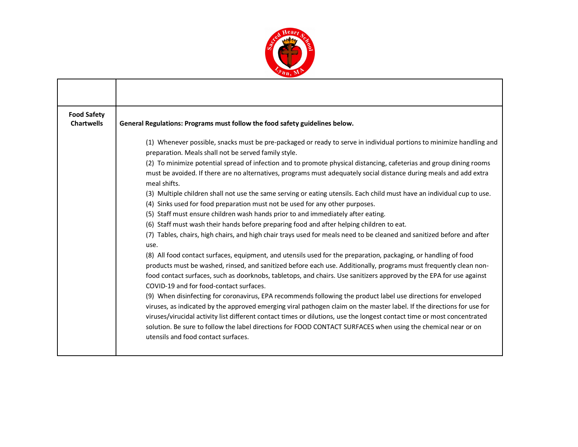

| <b>Food Safety</b><br><b>Chartwells</b> | General Regulations: Programs must follow the food safety guidelines below.                                                                                                                                                                                                                                                                                                                                                                                                                                                                                                                                                                                                                                                                                                                                                                                                                                                                                                                                                                                                                                                                                                                                                                                                                                                                                                                                                                                                                                                                                                                                                                                                                                                                                                                                                                                                                                     |
|-----------------------------------------|-----------------------------------------------------------------------------------------------------------------------------------------------------------------------------------------------------------------------------------------------------------------------------------------------------------------------------------------------------------------------------------------------------------------------------------------------------------------------------------------------------------------------------------------------------------------------------------------------------------------------------------------------------------------------------------------------------------------------------------------------------------------------------------------------------------------------------------------------------------------------------------------------------------------------------------------------------------------------------------------------------------------------------------------------------------------------------------------------------------------------------------------------------------------------------------------------------------------------------------------------------------------------------------------------------------------------------------------------------------------------------------------------------------------------------------------------------------------------------------------------------------------------------------------------------------------------------------------------------------------------------------------------------------------------------------------------------------------------------------------------------------------------------------------------------------------------------------------------------------------------------------------------------------------|
|                                         | (1) Whenever possible, snacks must be pre-packaged or ready to serve in individual portions to minimize handling and<br>preparation. Meals shall not be served family style.<br>(2) To minimize potential spread of infection and to promote physical distancing, cafeterias and group dining rooms<br>must be avoided. If there are no alternatives, programs must adequately social distance during meals and add extra<br>meal shifts.<br>(3) Multiple children shall not use the same serving or eating utensils. Each child must have an individual cup to use.<br>(4) Sinks used for food preparation must not be used for any other purposes.<br>(5) Staff must ensure children wash hands prior to and immediately after eating.<br>(6) Staff must wash their hands before preparing food and after helping children to eat.<br>(7) Tables, chairs, high chairs, and high chair trays used for meals need to be cleaned and sanitized before and after<br>use.<br>(8) All food contact surfaces, equipment, and utensils used for the preparation, packaging, or handling of food<br>products must be washed, rinsed, and sanitized before each use. Additionally, programs must frequently clean non-<br>food contact surfaces, such as doorknobs, tabletops, and chairs. Use sanitizers approved by the EPA for use against<br>COVID-19 and for food-contact surfaces.<br>(9) When disinfecting for coronavirus, EPA recommends following the product label use directions for enveloped<br>viruses, as indicated by the approved emerging viral pathogen claim on the master label. If the directions for use for<br>viruses/virucidal activity list different contact times or dilutions, use the longest contact time or most concentrated<br>solution. Be sure to follow the label directions for FOOD CONTACT SURFACES when using the chemical near or on<br>utensils and food contact surfaces. |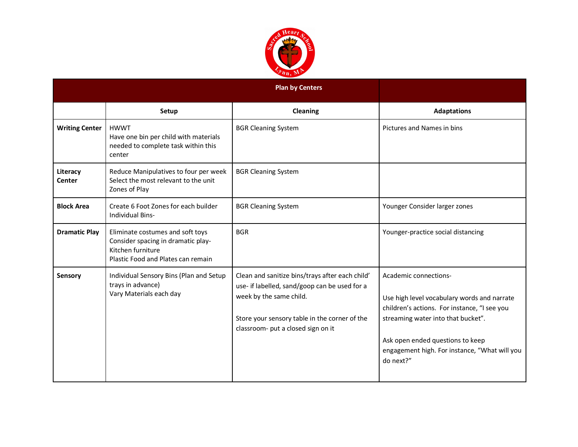

|                           |                                                                                                                                   | <b>Plan by Centers</b>                                                                                                                                                                                             |                                                                                                                                                                                                                                                              |
|---------------------------|-----------------------------------------------------------------------------------------------------------------------------------|--------------------------------------------------------------------------------------------------------------------------------------------------------------------------------------------------------------------|--------------------------------------------------------------------------------------------------------------------------------------------------------------------------------------------------------------------------------------------------------------|
|                           | Setup                                                                                                                             | Cleaning                                                                                                                                                                                                           | <b>Adaptations</b>                                                                                                                                                                                                                                           |
| <b>Writing Center</b>     | <b>HWWT</b><br>Have one bin per child with materials<br>needed to complete task within this<br>center                             | <b>BGR Cleaning System</b>                                                                                                                                                                                         | Pictures and Names in bins                                                                                                                                                                                                                                   |
| Literacy<br><b>Center</b> | Reduce Manipulatives to four per week<br>Select the most relevant to the unit<br>Zones of Play                                    | <b>BGR Cleaning System</b>                                                                                                                                                                                         |                                                                                                                                                                                                                                                              |
| <b>Block Area</b>         | Create 6 Foot Zones for each builder<br><b>Individual Bins-</b>                                                                   | <b>BGR Cleaning System</b>                                                                                                                                                                                         | Younger Consider larger zones                                                                                                                                                                                                                                |
| <b>Dramatic Play</b>      | Eliminate costumes and soft toys<br>Consider spacing in dramatic play-<br>Kitchen furniture<br>Plastic Food and Plates can remain | <b>BGR</b>                                                                                                                                                                                                         | Younger-practice social distancing                                                                                                                                                                                                                           |
| Sensory                   | Individual Sensory Bins (Plan and Setup<br>trays in advance)<br>Vary Materials each day                                           | Clean and sanitize bins/trays after each child'<br>use- if labelled, sand/goop can be used for a<br>week by the same child.<br>Store your sensory table in the corner of the<br>classroom- put a closed sign on it | Academic connections-<br>Use high level vocabulary words and narrate<br>children's actions. For instance, "I see you<br>streaming water into that bucket".<br>Ask open ended questions to keep<br>engagement high. For instance, "What will you<br>do next?" |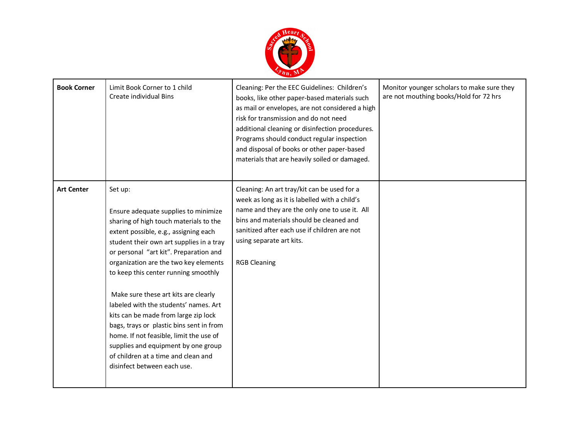

| <b>Book Corner</b> | Limit Book Corner to 1 child<br>Create individual Bins                                                                                                                                                                                                                                                                                                                                                                                                                                                                                                                                                                                 | Cleaning: Per the EEC Guidelines: Children's<br>books, like other paper-based materials such<br>as mail or envelopes, are not considered a high<br>risk for transmission and do not need<br>additional cleaning or disinfection procedures.<br>Programs should conduct regular inspection<br>and disposal of books or other paper-based<br>materials that are heavily soiled or damaged. | Monitor younger scholars to make sure they<br>are not mouthing books/Hold for 72 hrs |
|--------------------|----------------------------------------------------------------------------------------------------------------------------------------------------------------------------------------------------------------------------------------------------------------------------------------------------------------------------------------------------------------------------------------------------------------------------------------------------------------------------------------------------------------------------------------------------------------------------------------------------------------------------------------|------------------------------------------------------------------------------------------------------------------------------------------------------------------------------------------------------------------------------------------------------------------------------------------------------------------------------------------------------------------------------------------|--------------------------------------------------------------------------------------|
| <b>Art Center</b>  | Set up:<br>Ensure adequate supplies to minimize<br>sharing of high touch materials to the<br>extent possible, e.g., assigning each<br>student their own art supplies in a tray<br>or personal "art kit". Preparation and<br>organization are the two key elements<br>to keep this center running smoothly<br>Make sure these art kits are clearly<br>labeled with the students' names. Art<br>kits can be made from large zip lock<br>bags, trays or plastic bins sent in from<br>home. If not feasible, limit the use of<br>supplies and equipment by one group<br>of children at a time and clean and<br>disinfect between each use. | Cleaning: An art tray/kit can be used for a<br>week as long as it is labelled with a child's<br>name and they are the only one to use it. All<br>bins and materials should be cleaned and<br>sanitized after each use if children are not<br>using separate art kits.<br><b>RGB Cleaning</b>                                                                                             |                                                                                      |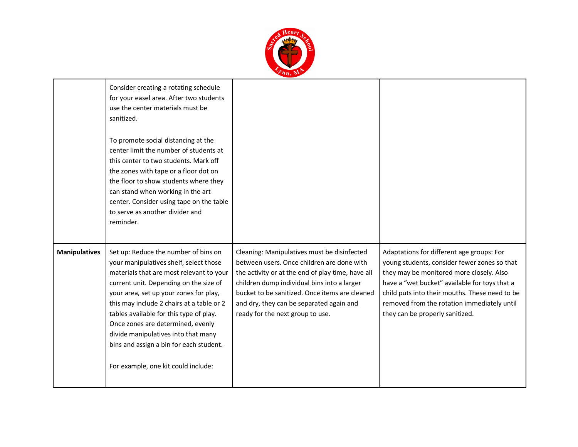

|                      | Consider creating a rotating schedule<br>for your easel area. After two students<br>use the center materials must be<br>sanitized.<br>To promote social distancing at the<br>center limit the number of students at<br>this center to two students. Mark off<br>the zones with tape or a floor dot on<br>the floor to show students where they<br>can stand when working in the art<br>center. Consider using tape on the table<br>to serve as another divider and<br>reminder. |                                                                                                                                                                                                                                                                                                                                 |                                                                                                                                                                                                                                                                                                                            |
|----------------------|---------------------------------------------------------------------------------------------------------------------------------------------------------------------------------------------------------------------------------------------------------------------------------------------------------------------------------------------------------------------------------------------------------------------------------------------------------------------------------|---------------------------------------------------------------------------------------------------------------------------------------------------------------------------------------------------------------------------------------------------------------------------------------------------------------------------------|----------------------------------------------------------------------------------------------------------------------------------------------------------------------------------------------------------------------------------------------------------------------------------------------------------------------------|
| <b>Manipulatives</b> | Set up: Reduce the number of bins on<br>your manipulatives shelf, select those<br>materials that are most relevant to your<br>current unit. Depending on the size of<br>your area, set up your zones for play,<br>this may include 2 chairs at a table or 2<br>tables available for this type of play.<br>Once zones are determined, evenly<br>divide manipulatives into that many<br>bins and assign a bin for each student.<br>For example, one kit could include:            | Cleaning: Manipulatives must be disinfected<br>between users. Once children are done with<br>the activity or at the end of play time, have all<br>children dump individual bins into a larger<br>bucket to be sanitized. Once items are cleaned<br>and dry, they can be separated again and<br>ready for the next group to use. | Adaptations for different age groups: For<br>young students, consider fewer zones so that<br>they may be monitored more closely. Also<br>have a "wet bucket" available for toys that a<br>child puts into their mouths. These need to be<br>removed from the rotation immediately until<br>they can be properly sanitized. |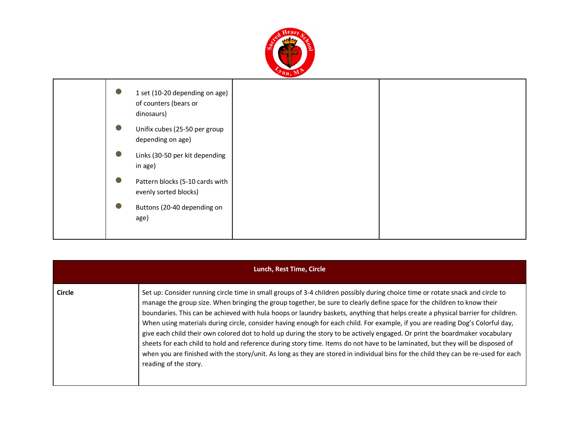

| $\bullet$ | 1 set (10-20 depending on age)<br>of counters (bears or<br>dinosaurs) |  |
|-----------|-----------------------------------------------------------------------|--|
| $\bullet$ | Unifix cubes (25-50 per group<br>depending on age)                    |  |
| $\bullet$ | Links (30-50 per kit depending<br>in age)                             |  |
|           | Pattern blocks (5-10 cards with<br>evenly sorted blocks)              |  |
|           | Buttons (20-40 depending on<br>age)                                   |  |

|               | Lunch, Rest Time, Circle                                                                                                                                                                                                                                                                                                                                                                                                                                                                                                                                                                                                                                                                                                                                                                                                                                                                                                                                          |
|---------------|-------------------------------------------------------------------------------------------------------------------------------------------------------------------------------------------------------------------------------------------------------------------------------------------------------------------------------------------------------------------------------------------------------------------------------------------------------------------------------------------------------------------------------------------------------------------------------------------------------------------------------------------------------------------------------------------------------------------------------------------------------------------------------------------------------------------------------------------------------------------------------------------------------------------------------------------------------------------|
| <b>Circle</b> | Set up: Consider running circle time in small groups of 3-4 children possibly during choice time or rotate snack and circle to<br>manage the group size. When bringing the group together, be sure to clearly define space for the children to know their<br>boundaries. This can be achieved with hula hoops or laundry baskets, anything that helps create a physical barrier for children.<br>When using materials during circle, consider having enough for each child. For example, if you are reading Dog's Colorful day,<br>give each child their own colored dot to hold up during the story to be actively engaged. Or print the boardmaker vocabulary<br>sheets for each child to hold and reference during story time. Items do not have to be laminated, but they will be disposed of<br>when you are finished with the story/unit. As long as they are stored in individual bins for the child they can be re-used for each<br>reading of the story. |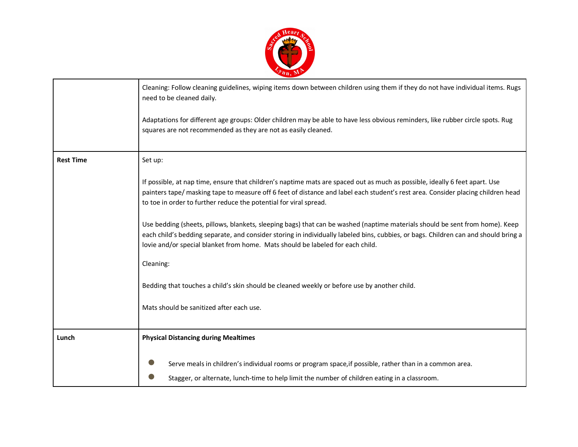

|                  | Cleaning: Follow cleaning guidelines, wiping items down between children using them if they do not have individual items. Rugs<br>need to be cleaned daily.                                                                                                                                                                                           |
|------------------|-------------------------------------------------------------------------------------------------------------------------------------------------------------------------------------------------------------------------------------------------------------------------------------------------------------------------------------------------------|
|                  | Adaptations for different age groups: Older children may be able to have less obvious reminders, like rubber circle spots. Rug<br>squares are not recommended as they are not as easily cleaned.                                                                                                                                                      |
| <b>Rest Time</b> | Set up:                                                                                                                                                                                                                                                                                                                                               |
|                  | If possible, at nap time, ensure that children's naptime mats are spaced out as much as possible, ideally 6 feet apart. Use<br>painters tape/masking tape to measure off 6 feet of distance and label each student's rest area. Consider placing children head<br>to toe in order to further reduce the potential for viral spread.                   |
|                  | Use bedding (sheets, pillows, blankets, sleeping bags) that can be washed (naptime materials should be sent from home). Keep<br>each child's bedding separate, and consider storing in individually labeled bins, cubbies, or bags. Children can and should bring a<br>lovie and/or special blanket from home. Mats should be labeled for each child. |
|                  | Cleaning:                                                                                                                                                                                                                                                                                                                                             |
|                  | Bedding that touches a child's skin should be cleaned weekly or before use by another child.                                                                                                                                                                                                                                                          |
|                  | Mats should be sanitized after each use.                                                                                                                                                                                                                                                                                                              |
| Lunch            | <b>Physical Distancing during Mealtimes</b>                                                                                                                                                                                                                                                                                                           |
|                  | Serve meals in children's individual rooms or program space, if possible, rather than in a common area.                                                                                                                                                                                                                                               |
|                  | Stagger, or alternate, lunch-time to help limit the number of children eating in a classroom.                                                                                                                                                                                                                                                         |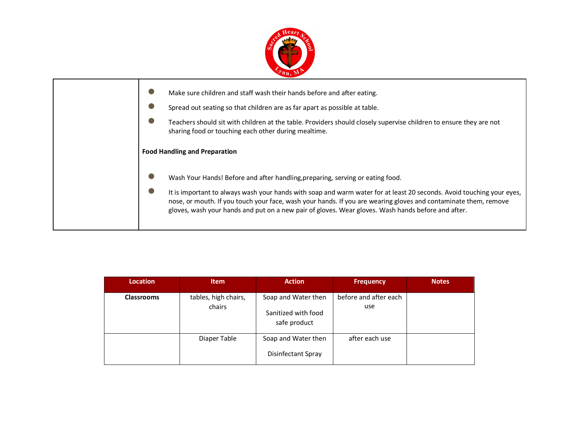

| Make sure children and staff wash their hands before and after eating.<br>Spread out seating so that children are as far apart as possible at table.<br>Teachers should sit with children at the table. Providers should closely supervise children to ensure they are not<br>sharing food or touching each other during mealtime.                                                                                               |
|----------------------------------------------------------------------------------------------------------------------------------------------------------------------------------------------------------------------------------------------------------------------------------------------------------------------------------------------------------------------------------------------------------------------------------|
| <b>Food Handling and Preparation</b>                                                                                                                                                                                                                                                                                                                                                                                             |
| Wash Your Hands! Before and after handling, preparing, serving or eating food.<br>It is important to always wash your hands with soap and warm water for at least 20 seconds. Avoid touching your eyes,<br>nose, or mouth. If you touch your face, wash your hands. If you are wearing gloves and contaminate them, remove<br>gloves, wash your hands and put on a new pair of gloves. Wear gloves. Wash hands before and after. |

| <b>Location</b>   | <b>Item</b>                    | <b>Action</b>                                              | <b>Frequency</b>             | <b>Notes</b> |
|-------------------|--------------------------------|------------------------------------------------------------|------------------------------|--------------|
| <b>Classrooms</b> | tables, high chairs,<br>chairs | Soap and Water then<br>Sanitized with food<br>safe product | before and after each<br>use |              |
|                   | Diaper Table                   | Soap and Water then<br><b>Disinfectant Spray</b>           | after each use               |              |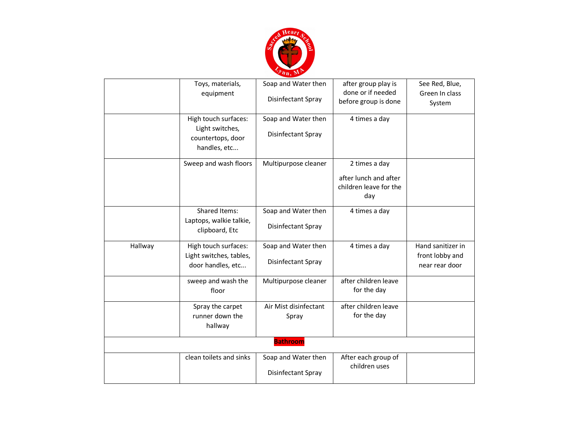

|         | Toys, materials,<br>equipment                                        | Soap and Water then<br>Disinfectant Spray | after group play is<br>done or if needed<br>before group is done        | See Red, Blue,<br>Green In class<br>System             |
|---------|----------------------------------------------------------------------|-------------------------------------------|-------------------------------------------------------------------------|--------------------------------------------------------|
|         | High touch surfaces:<br>Light switches,<br>countertops, door         | Soap and Water then<br>Disinfectant Spray | 4 times a day                                                           |                                                        |
|         | handles, etc                                                         |                                           |                                                                         |                                                        |
|         | Sweep and wash floors                                                | Multipurpose cleaner                      | 2 times a day<br>after lunch and after<br>children leave for the<br>day |                                                        |
|         | Shared Items:<br>Laptops, walkie talkie,<br>clipboard, Etc           | Soap and Water then<br>Disinfectant Spray | 4 times a day                                                           |                                                        |
| Hallway | High touch surfaces:<br>Light switches, tables,<br>door handles, etc | Soap and Water then<br>Disinfectant Spray | 4 times a day                                                           | Hand sanitizer in<br>front lobby and<br>near rear door |
|         | sweep and wash the<br>floor                                          | Multipurpose cleaner                      | after children leave<br>for the day                                     |                                                        |
|         | Spray the carpet<br>runner down the<br>hallway                       | Air Mist disinfectant<br>Spray            | after children leave<br>for the day                                     |                                                        |
|         | <b>Bathroom</b>                                                      |                                           |                                                                         |                                                        |
|         | clean toilets and sinks                                              | Soap and Water then<br>Disinfectant Spray | After each group of<br>children uses                                    |                                                        |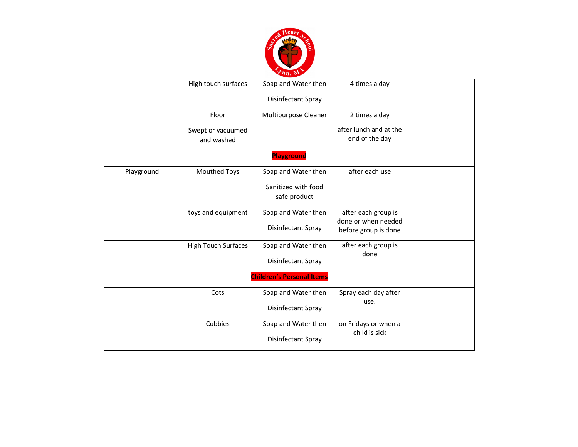

|            | High touch surfaces             | Soap and Water then                       | 4 times a day                                                      |  |
|------------|---------------------------------|-------------------------------------------|--------------------------------------------------------------------|--|
|            |                                 | Disinfectant Spray                        |                                                                    |  |
|            | Floor                           | Multipurpose Cleaner                      | 2 times a day                                                      |  |
|            | Swept or vacuumed<br>and washed |                                           | after lunch and at the<br>end of the day                           |  |
|            |                                 | <b>Playground</b>                         |                                                                    |  |
| Playground | Mouthed Toys                    | Soap and Water then                       | after each use                                                     |  |
|            |                                 | Sanitized with food<br>safe product       |                                                                    |  |
|            | toys and equipment              | Soap and Water then<br>Disinfectant Spray | after each group is<br>done or when needed<br>before group is done |  |
|            | High Touch Surfaces             | Soap and Water then                       | after each group is                                                |  |
|            |                                 | Disinfectant Spray                        | done                                                               |  |
|            |                                 | <b>Children's Personal Items</b>          |                                                                    |  |
|            | Cots                            | Soap and Water then<br>Disinfectant Spray | Spray each day after<br>use.                                       |  |
|            | Cubbies                         | Soap and Water then<br>Disinfectant Spray | on Fridays or when a<br>child is sick                              |  |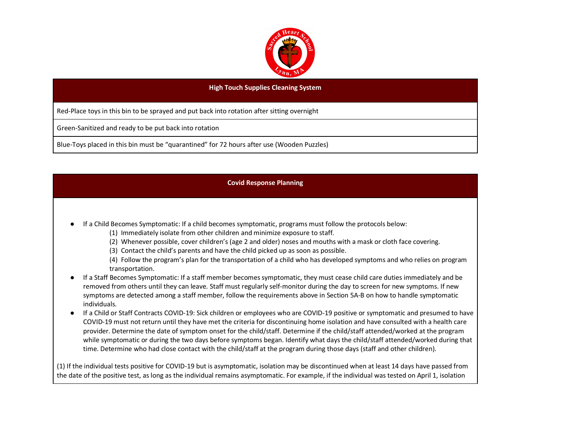

## **High Touch Supplies Cleaning System**

Red-Place toys in this bin to be sprayed and put back into rotation after sitting overnight

Green-Sanitized and ready to be put back into rotation

Blue-Toys placed in this bin must be "quarantined" for 72 hours after use (Wooden Puzzles)

## **Covid Response Planning**

- If a Child Becomes Symptomatic: If a child becomes symptomatic, programs must follow the protocols below:
	- (1) Immediately isolate from other children and minimize exposure to staff.
	- (2) Whenever possible, cover children's (age 2 and older) noses and mouths with a mask or cloth face covering.
	- (3) Contact the child's parents and have the child picked up as soon as possible.

(4) Follow the program's plan for the transportation of a child who has developed symptoms and who relies on program transportation.

- If a Staff Becomes Symptomatic: If a staff member becomes symptomatic, they must cease child care duties immediately and be removed from others until they can leave. Staff must regularly self-monitor during the day to screen for new symptoms. If new symptoms are detected among a staff member, follow the requirements above in Section 5A-B on how to handle symptomatic individuals.
- If a Child or Staff Contracts COVID-19: Sick children or employees who are COVID-19 positive or symptomatic and presumed to have COVID-19 must not return until they have met the criteria for discontinuing home isolation and have consulted with a health care provider. Determine the date of symptom onset for the child/staff. Determine if the child/staff attended/worked at the program while symptomatic or during the two days before symptoms began. Identify what days the child/staff attended/worked during that time. Determine who had close contact with the child/staff at the program during those days (staff and other children).

(1) If the individual tests positive for COVID-19 but is asymptomatic, isolation may be discontinued when at least 14 days have passed from the date of the positive test, as long as the individual remains asymptomatic. For example, if the individual was tested on April 1, isolation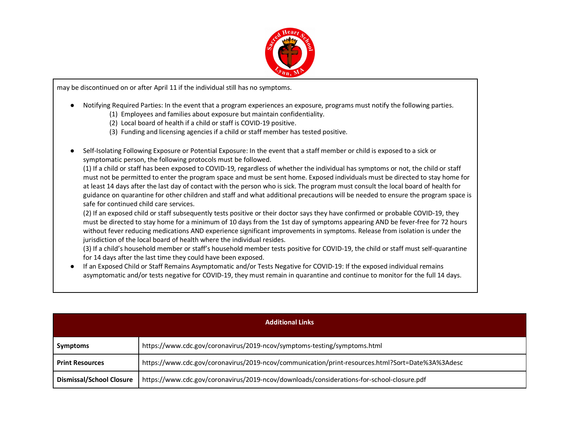

may be discontinued on or after April 11 if the individual still has no symptoms.

- Notifying Required Parties: In the event that a program experiences an exposure, programs must notify the following parties.
	- (1) Employees and families about exposure but maintain confidentiality.
	- (2) Local board of health if a child or staff is COVID-19 positive.
	- (3) Funding and licensing agencies if a child or staff member has tested positive.
- Self-Isolating Following Exposure or Potential Exposure: In the event that a staff member or child is exposed to a sick or symptomatic person, the following protocols must be followed.

(1) If a child or staff has been exposed to COVID-19, regardless of whether the individual has symptoms or not, the child or staff must not be permitted to enter the program space and must be sent home. Exposed individuals must be directed to stay home for at least 14 days after the last day of contact with the person who is sick. The program must consult the local board of health for guidance on quarantine for other children and staff and what additional precautions will be needed to ensure the program space is safe for continued child care services.

(2) If an exposed child or staff subsequently tests positive or their doctor says they have confirmed or probable COVID-19, they must be directed to stay home for a minimum of 10 days from the 1st day of symptoms appearing AND be fever-free for 72 hours without fever reducing medications AND experience significant improvements in symptoms. Release from isolation is under the jurisdiction of the local board of health where the individual resides.

(3) If a child's household member or staff's household member tests positive for COVID-19, the child or staff must self-quarantine for 14 days after the last time they could have been exposed.

● If an Exposed Child or Staff Remains Asymptomatic and/or Tests Negative for COVID-19: If the exposed individual remains asymptomatic and/or tests negative for COVID-19, they must remain in quarantine and continue to monitor for the full 14 days.

| <b>Additional Links</b>  |                                                                                                  |  |
|--------------------------|--------------------------------------------------------------------------------------------------|--|
| Symptoms                 | https://www.cdc.gov/coronavirus/2019-ncov/symptoms-testing/symptoms.html                         |  |
| <b>Print Resources</b>   | https://www.cdc.gov/coronavirus/2019-ncov/communication/print-resources.html?Sort=Date%3A%3Adesc |  |
| Dismissal/School Closure | https://www.cdc.gov/coronavirus/2019-ncov/downloads/considerations-for-school-closure.pdf        |  |